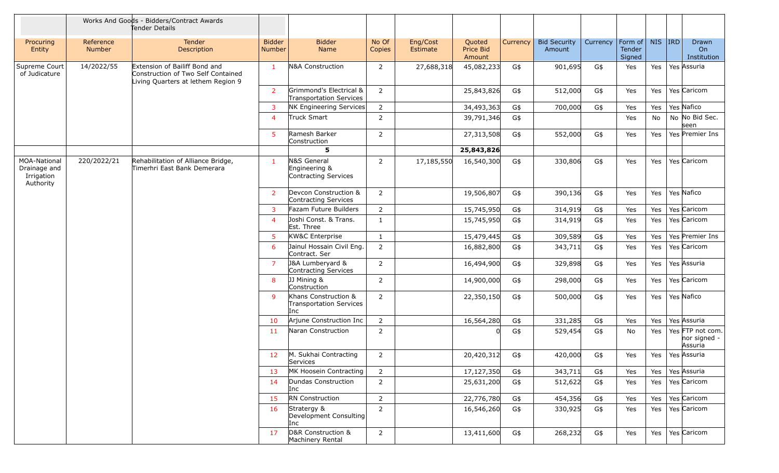|                                                                |                     | Works And Goods - Bidders/Contract Awards<br>Tender Details                                               |                         |                                                               |                 |                      |                                      |          |                               |          |                                    |        |                                             |
|----------------------------------------------------------------|---------------------|-----------------------------------------------------------------------------------------------------------|-------------------------|---------------------------------------------------------------|-----------------|----------------------|--------------------------------------|----------|-------------------------------|----------|------------------------------------|--------|---------------------------------------------|
| Procuring<br>Entity                                            | Reference<br>Number | <b>Tender</b><br>Description                                                                              | <b>Bidder</b><br>Number | <b>Bidder</b><br>Name                                         | No Of<br>Copies | Eng/Cost<br>Estimate | Quoted<br><b>Price Bid</b><br>Amount | Currency | <b>Bid Security</b><br>Amount | Currency | Form of<br><b>Tender</b><br>Signed | NIS RD | Drawn<br>On<br>Institution                  |
| Supreme Court<br>of Judicature                                 | 14/2022/55          | Extension of Bailiff Bond and<br>Construction of Two Self Contained<br>Living Quarters at lethem Region 9 | $\mathbf{1}$            | N&A Construction                                              | $\overline{2}$  | 27,688,318           | 45,082,233                           | G\$      | 901,695                       | G\$      | Yes                                | Yes    | Yes Assuria                                 |
|                                                                |                     |                                                                                                           | $\overline{2}$          | Grimmond's Electrical &<br><b>Transportation Services</b>     | $\overline{2}$  |                      | 25,843,826                           | G\$      | 512,000                       | G\$      | Yes                                | Yes    | Yes Caricom                                 |
|                                                                |                     |                                                                                                           | 3                       | NK Engineering Services                                       | $\overline{2}$  |                      | 34,493,363                           | G\$      | 700,000                       | G\$      | Yes                                | Yes    | Yes Nafico                                  |
|                                                                |                     |                                                                                                           | $\overline{4}$          | Truck Smart                                                   | $\overline{2}$  |                      | 39,791,346                           | G\$      |                               |          | Yes                                | No     | No No Bid Sec.<br>seen                      |
|                                                                |                     |                                                                                                           | 5                       | Ramesh Barker<br>Construction                                 | $\overline{2}$  |                      | 27,313,508                           | G\$      | 552,000                       | G\$      | Yes                                | Yes    | Yes Premier Ins                             |
|                                                                |                     |                                                                                                           |                         | 5                                                             |                 |                      | 25,843,826                           |          |                               |          |                                    |        |                                             |
| <b>MOA-National</b><br>Drainage and<br>Irrigation<br>Authority | 220/2022/21         | Rehabilitation of Alliance Bridge,<br>Timerhri East Bank Demerara                                         | 1                       | N&S General<br>Engineering &<br>Contracting Services          | $\overline{2}$  | 17,185,550           | 16,540,300                           | G\$      | 330,806                       | G\$      | Yes                                | Yes    | Yes Caricom                                 |
|                                                                |                     |                                                                                                           | $\overline{2}$          | Devcon Construction &<br>Contracting Services                 | $\overline{2}$  |                      | 19,506,807                           | G\$      | 390,136                       | G\$      | Yes                                | Yes    | Yes Nafico                                  |
|                                                                |                     |                                                                                                           | 3                       | Fazam Future Builders                                         | $\overline{2}$  |                      | 15,745,950                           | G\$      | 314,919                       | G\$      | Yes                                | Yes    | Yes Caricom                                 |
|                                                                |                     |                                                                                                           | $\overline{4}$          | Joshi Const. & Trans.<br>Est. Three                           | $\mathbf{1}$    |                      | 15,745,950                           | G\$      | 314,919                       | G\$      | Yes                                | Yes    | Yes Caricom                                 |
|                                                                |                     |                                                                                                           | 5                       | <b>KW&amp;C Enterprise</b>                                    | $\mathbf{1}$    |                      | 15,479,445                           | G\$      | 309,589                       | G\$      | Yes                                | Yes    | Yes Premier Ins                             |
|                                                                |                     |                                                                                                           | 6                       | Jainul Hossain Civil Eng.<br>Contract. Ser                    | $\overline{2}$  |                      | 16,882,800                           | G\$      | 343,711                       | G\$      | Yes                                | Yes    | Yes Caricom                                 |
|                                                                |                     |                                                                                                           | $\overline{7}$          | J&A Lumberyard &<br>Contracting Services                      | $\overline{2}$  |                      | 16,494,900                           | G\$      | 329,898                       | G\$      | Yes                                | Yes    | Yes Assuria                                 |
|                                                                |                     |                                                                                                           | 8                       | JJ Mining &<br>Construction                                   | $\overline{2}$  |                      | 14,900,000                           | G\$      | 298,000                       | G\$      | Yes                                | Yes    | Yes Caricom                                 |
|                                                                |                     |                                                                                                           | 9                       | Khans Construction &<br><b>Transportation Services</b><br>Inc | $\overline{2}$  |                      | 22,350,150                           | G\$      | 500,000                       | G\$      | Yes                                | Yes    | Yes Nafico                                  |
|                                                                |                     |                                                                                                           | 10                      | Arjune Construction Inc                                       | $\overline{2}$  |                      | 16,564,280                           | G\$      | 331,285                       | G\$      | Yes                                | Yes    | Yes Assuria                                 |
|                                                                |                     |                                                                                                           | 11                      | Naran Construction                                            | $\overline{2}$  |                      |                                      | G\$      | 529,454                       | G\$      | No                                 | Yes    | Yes FTP not com.<br>nor signed -<br>Assuria |
|                                                                |                     |                                                                                                           | 12                      | M. Sukhai Contracting<br>Services                             | 2               |                      | 20,420,312                           | G\$      | 420,000                       | G\$      | Yes                                | Yes    | Yes Assuria                                 |
|                                                                |                     |                                                                                                           | 13                      | MK Hoosein Contracting                                        | $\overline{2}$  |                      | 17,127,350                           | G\$      | 343,711                       | G\$      | Yes                                | Yes    | Yes Assuria                                 |
|                                                                |                     |                                                                                                           | 14                      | Dundas Construction<br>Inc                                    | $\overline{2}$  |                      | 25,631,200                           | G\$      | 512,622                       | G\$      | Yes                                | Yes    | Yes Caricom                                 |
|                                                                |                     |                                                                                                           | 15                      | <b>RN</b> Construction                                        | $\overline{2}$  |                      | 22,776,780                           | G\$      | 454,356                       | G\$      | Yes                                | Yes    | Yes Caricom                                 |
|                                                                |                     |                                                                                                           | 16                      | Stratergy &<br>Development Consulting<br>Inc                  | $\overline{2}$  |                      | 16,546,260                           | G\$      | 330,925                       | G\$      | Yes                                | Yes    | Yes Caricom                                 |
|                                                                |                     |                                                                                                           | 17                      | D&R Construction &<br>Machinery Rental                        | $2^{\circ}$     |                      | 13,411,600                           | G\$      | 268,232                       | G\$      | Yes                                | Yes    | Yes Caricom                                 |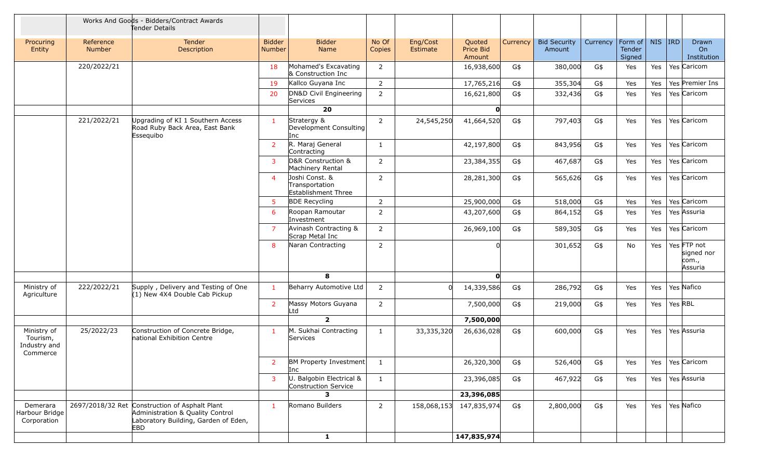|                                                     |                     | Works And Goods - Bidders/Contract Awards<br>Tender Details                                                                       |                         |                                                         |                 |                      |                               |          |                               |          |                             |        |         |                                               |
|-----------------------------------------------------|---------------------|-----------------------------------------------------------------------------------------------------------------------------------|-------------------------|---------------------------------------------------------|-----------------|----------------------|-------------------------------|----------|-------------------------------|----------|-----------------------------|--------|---------|-----------------------------------------------|
| Procuring<br>Entity                                 | Reference<br>Number | Tender<br>Description                                                                                                             | <b>Bidder</b><br>Number | <b>Bidder</b><br>Name                                   | No Of<br>Copies | Eng/Cost<br>Estimate | Quoted<br>Price Bid<br>Amount | Currency | <b>Bid Security</b><br>Amount | Currency | Form of<br>Tender<br>Signed | NIS RD |         | Drawn<br>On<br>Institution                    |
|                                                     | 220/2022/21         |                                                                                                                                   | 18                      | Mohamed's Excavating<br>& Construction Inc              | $\overline{2}$  |                      | 16,938,600                    | G\$      | 380,000                       | G\$      | Yes                         | Yes    |         | Yes Caricom                                   |
|                                                     |                     |                                                                                                                                   | 19                      | Kallco Guyana Inc                                       | $\overline{2}$  |                      | 17,765,216                    | G\$      | 355,304                       | G\$      | Yes                         | Yes    |         | Yes Premier Ins                               |
|                                                     |                     |                                                                                                                                   | 20                      | DN&D Civil Engineering<br>Services                      | 2               |                      | 16,621,800                    | G\$      | 332,436                       | G\$      | Yes                         | Yes    |         | Yes Caricom                                   |
|                                                     |                     |                                                                                                                                   |                         | 20                                                      |                 |                      | O                             |          |                               |          |                             |        |         |                                               |
|                                                     | 221/2022/21         | Upgrading of KI 1 Southern Access<br>Road Ruby Back Area, East Bank<br>Essequibo                                                  | $\mathbf{1}$            | Stratergy &<br>Development Consulting<br>Inc            | 2               | 24,545,250           | 41,664,520                    | G\$      | 797,403                       | G\$      | Yes                         | Yes    |         | Yes Caricom                                   |
|                                                     |                     |                                                                                                                                   | $\overline{2}$          | R. Maraj General<br>Contracting                         | $\mathbf{1}$    |                      | 42,197,800                    | G\$      | 843,956                       | G\$      | Yes                         | Yes    |         | Yes Caricom                                   |
|                                                     |                     |                                                                                                                                   | 3                       | D&R Construction &<br>Machinery Rental                  | $\overline{2}$  |                      | 23,384,355                    | G\$      | 467,687                       | G\$      | Yes                         | Yes    |         | Yes Caricom                                   |
|                                                     |                     |                                                                                                                                   | $\overline{4}$          | Joshi Const. &<br>Transportation<br>Establishment Three | 2               |                      | 28,281,300                    | G\$      | 565,626                       | G\$      | Yes                         | Yes    |         | Yes Caricom                                   |
|                                                     |                     |                                                                                                                                   | $5\phantom{.0}$         | <b>BDE Recycling</b>                                    | $\overline{2}$  |                      | 25,900,000                    | G\$      | 518,000                       | G\$      | Yes                         | Yes    |         | Yes Caricom                                   |
|                                                     |                     |                                                                                                                                   | 6                       | Roopan Ramoutar<br>Investment                           | $\overline{2}$  |                      | 43,207,600                    | G\$      | 864,152                       | G\$      | Yes                         | Yes    |         | Yes Assuria                                   |
|                                                     |                     |                                                                                                                                   | $\overline{7}$          | Avinash Contracting &<br>Scrap Metal Inc                | $\overline{2}$  |                      | 26,969,100                    | G\$      | 589,305                       | G\$      | Yes                         | Yes    |         | Yes Caricom                                   |
|                                                     |                     |                                                                                                                                   | 8                       | Naran Contracting                                       | $\overline{2}$  |                      |                               |          | 301,652                       | G\$      | No                          | Yes    |         | Yes FTP not<br>signed nor<br>com.,<br>Assuria |
|                                                     |                     |                                                                                                                                   |                         | 8                                                       |                 |                      | O                             |          |                               |          |                             |        |         |                                               |
| Ministry of<br>Agriculture                          | 222/2022/21         | Supply, Delivery and Testing of One<br>(1) New 4X4 Double Cab Pickup                                                              | $\mathbf{1}$            | Beharry Automotive Ltd                                  | 2               |                      | 14,339,586                    | G\$      | 286,792                       | G\$      | Yes                         | Yes    |         | Yes Nafico                                    |
|                                                     |                     |                                                                                                                                   | $\overline{2}$          | Massy Motors Guyana<br>Ltd                              | $\overline{2}$  |                      | 7,500,000                     | G\$      | 219,000                       | G\$      | Yes                         | Yes    | Yes RBL |                                               |
|                                                     |                     |                                                                                                                                   |                         | $\overline{2}$                                          |                 |                      | 7,500,000                     |          |                               |          |                             |        |         |                                               |
| Ministry of<br>Tourism,<br>Industry and<br>Commerce | 25/2022/23          | Construction of Concrete Bridge,<br>national Exhibition Centre                                                                    | $\mathbf{1}$            | M. Sukhai Contracting<br>Services                       | $\mathbf{1}$    | 33,335,320           | 26,636,028                    | G\$      | 600,000                       | G\$      | Yes                         | Yes    |         | Yes Assuria                                   |
|                                                     |                     |                                                                                                                                   |                         | BM Property Investment<br>Inc                           | -1              |                      | 26,320,300                    | G\$      | 526,400                       | G\$      | Yes                         |        |         | Yes   Yes   Caricom                           |
|                                                     |                     |                                                                                                                                   | $\overline{3}$          | U. Balgobin Electrical &<br>Construction Service        | $\mathbf{1}$    |                      | 23,396,085                    | G\$      | 467,922                       | G\$      | Yes                         | Yes    |         | Yes Assuria                                   |
|                                                     |                     |                                                                                                                                   |                         | З.                                                      |                 |                      | 23,396,085                    |          |                               |          |                             |        |         |                                               |
| Demerara<br>Harbour Bridge<br>Corporation           |                     | 2697/2018/32 Ret Construction of Asphalt Plant<br>Administration & Quality Control<br>Laboratory Building, Garden of Eden,<br>EBD | $\mathbf{1}$            | Romano Builders                                         | $\overline{2}$  | 158,068,153          | 147,835,974                   | G\$      | 2,800,000                     | $G\$     | Yes                         | Yes    |         | Yes Nafico                                    |
|                                                     |                     |                                                                                                                                   |                         | $\mathbf{1}$                                            |                 |                      | 147,835,974                   |          |                               |          |                             |        |         |                                               |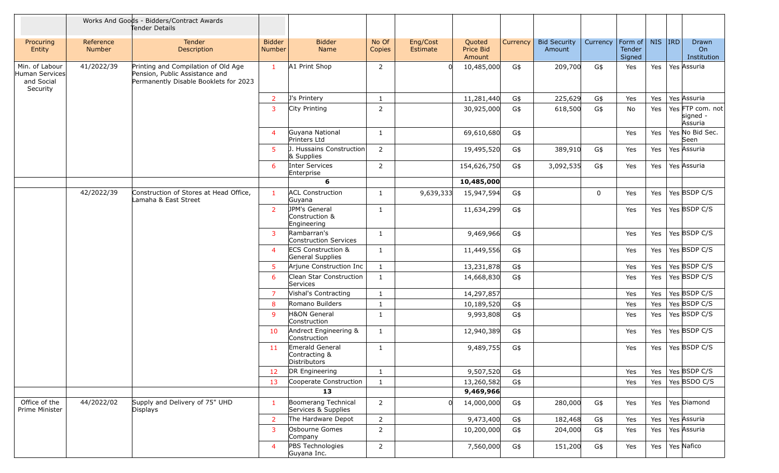|                                                            |                     | Works And Goods - Bidders/Contract Awards<br>Tender Details                                                    |                         |                                                   |                 |                      |                               |                 |                               |             |                             |        |                                         |
|------------------------------------------------------------|---------------------|----------------------------------------------------------------------------------------------------------------|-------------------------|---------------------------------------------------|-----------------|----------------------|-------------------------------|-----------------|-------------------------------|-------------|-----------------------------|--------|-----------------------------------------|
| Procuring<br>Entity                                        | Reference<br>Number | Tender<br>Description                                                                                          | <b>Bidder</b><br>Number | <b>Bidder</b><br>Name                             | No Of<br>Copies | Eng/Cost<br>Estimate | Quoted<br>Price Bid<br>Amount | <b>Currency</b> | <b>Bid Security</b><br>Amount | Currency    | Form of<br>Tender<br>Signed | NIS RD | Drawn<br>On<br>Institution              |
| Min. of Labour<br>Human Services<br>and Social<br>Security | 41/2022/39          | Printing and Compilation of Old Age<br>Pension, Public Assistance and<br>Permanently Disable Booklets for 2023 | $\mathbf{1}$            | A1 Print Shop                                     | $\overline{2}$  |                      | 10,485,000                    | G\$             | 209,700                       | G\$         | Yes                         | Yes    | Yes Assuria                             |
|                                                            |                     |                                                                                                                | $\overline{2}$          | J's Printery                                      | $\mathbf{1}$    |                      | 11,281,440                    | G\$             | 225,629                       | G\$         | Yes                         | Yes    | Yes Assuria                             |
|                                                            |                     |                                                                                                                | $\overline{3}$          | City Printing                                     | $\overline{2}$  |                      | 30,925,000                    | G\$             | 618,500                       | G\$         | No                          | Yes    | Yes FTP com. not<br>signed -<br>Assuria |
|                                                            |                     |                                                                                                                | $\overline{4}$          | Guyana National<br>Printers Ltd                   | $\mathbf{1}$    |                      | 69,610,680                    | G\$             |                               |             | Yes                         | Yes    | Yes No Bid Sec.<br>Seen                 |
|                                                            |                     |                                                                                                                | 5 <sup>1</sup>          | J. Hussains Construction<br>& Supplies            | $\overline{2}$  |                      | 19,495,520                    | G\$             | 389,910                       | G\$         | Yes                         | Yes    | Yes Assuria                             |
|                                                            |                     |                                                                                                                | 6                       | Inter Services<br>Enterprise                      | $\overline{2}$  |                      | 154,626,750                   | G\$             | 3,092,535                     | G\$         | Yes                         | Yes    | Yes Assuria                             |
|                                                            |                     |                                                                                                                |                         | 6                                                 |                 |                      | 10,485,000                    |                 |                               |             |                             |        |                                         |
|                                                            | 42/2022/39          | Construction of Stores at Head Office,<br>Lamaha & East Street                                                 | $\mathbf{1}$            | <b>ACL Construction</b><br>Guyana                 | $\mathbf{1}$    | 9,639,333            | 15,947,594                    | G\$             |                               | $\mathbf 0$ | Yes                         | Yes    | Yes BSDP C/S                            |
|                                                            |                     |                                                                                                                | $\overline{2}$          | JPM's General<br>Construction &<br>Engineering    | $\mathbf{1}$    |                      | 11,634,299                    | G\$             |                               |             | Yes                         | Yes    | Yes BSDP C/S                            |
|                                                            |                     |                                                                                                                | $\overline{3}$          | Rambarran's<br>Construction Services              | $\mathbf{1}$    |                      | 9,469,966                     | G\$             |                               |             | Yes                         | Yes    | Yes BSDP C/S                            |
|                                                            |                     |                                                                                                                | $\overline{4}$          | <b>ECS Construction &amp;</b><br>General Supplies | $\mathbf{1}$    |                      | 11,449,556                    | G\$             |                               |             | Yes                         | Yes    | Yes BSDP C/S                            |
|                                                            |                     |                                                                                                                | 5 <sup>1</sup>          | Arjune Construction Inc                           | $\mathbf{1}$    |                      | 13,231,878                    | G\$             |                               |             | Yes                         | Yes    | Yes BSDP C/S                            |
|                                                            |                     |                                                                                                                | 6                       | Clean Star Construction<br>Services               | $\mathbf{1}$    |                      | 14,668,830                    | G\$             |                               |             | Yes                         | Yes    | Yes BSDP C/S                            |
|                                                            |                     |                                                                                                                | $\overline{7}$          | Vishal's Contracting                              | $\mathbf{1}$    |                      | 14,297,857                    |                 |                               |             | Yes                         | Yes    | Yes BSDP C/S                            |
|                                                            |                     |                                                                                                                | 8                       | Romano Builders                                   | $\mathbf{1}$    |                      | 10,189,520                    | G\$             |                               |             | Yes                         | Yes    | Yes BSDP C/S                            |
|                                                            |                     |                                                                                                                | 9                       | H&ON General<br>Construction                      | $\mathbf{1}$    |                      | 9,993,808                     | G\$             |                               |             | Yes                         | Yes    | Yes BSDP C/S                            |
|                                                            |                     |                                                                                                                | 10                      | Andrect Engineering &<br>Construction             | $\mathbf{1}$    |                      | 12,940,389                    | G\$             |                               |             | Yes                         | Yes    | Yes BSDP C/S                            |
|                                                            |                     |                                                                                                                | 11                      | Emerald General<br>Contracting &<br>Distributors  | $\mathbf{1}$    |                      | 9,489,755                     | G\$             |                               |             | Yes                         | Yes    | Yes BSDP C/S                            |
|                                                            |                     |                                                                                                                | 12                      | DR Engineering                                    | $\mathbf{1}$    |                      | 9,507,520                     | G\$             |                               |             | Yes                         | Yes    | Yes BSDP C/S                            |
|                                                            |                     |                                                                                                                | 13                      | Cooperate Construction                            | $\mathbf{1}$    |                      | 13,260,582                    | G\$             |                               |             | Yes                         | Yes    | Yes BSDO C/S                            |
|                                                            |                     |                                                                                                                |                         | 13                                                |                 |                      | 9,469,966                     |                 |                               |             |                             |        |                                         |
| Office of the<br>Prime Minister                            | 44/2022/02          | Supply and Delivery of 75" UHD<br>Displays                                                                     | $\mathbf{1}$            | Boomerang Technical<br>Services & Supplies        | $\overline{2}$  |                      | 14,000,000                    | G\$             | 280,000                       | G\$         | Yes                         | Yes    | Yes Diamond                             |
|                                                            |                     |                                                                                                                | 2                       | The Hardware Depot                                | $\overline{2}$  |                      | 9,473,400                     | G\$             | 182,468                       | G\$         | Yes                         | Yes    | Yes Assuria                             |
|                                                            |                     |                                                                                                                | 3                       | Osbourne Gomes<br>Company                         | $\overline{2}$  |                      | 10,200,000                    | G\$             | 204,000                       | G\$         | Yes                         | Yes    | Yes Assuria                             |
|                                                            |                     |                                                                                                                | $\overline{4}$          | PBS Technologies<br>Guyana Inc.                   | $\overline{2}$  |                      | 7,560,000                     | G\$             | 151,200                       | G\$         | Yes                         | Yes    | Yes Nafico                              |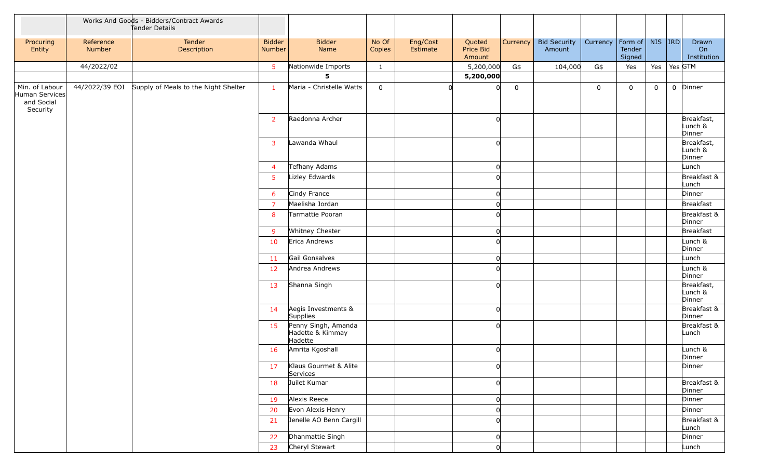|                                                            |                     | Works And Goods - Bidders/Contract Awards<br>Tender Details |                         |                                                    |                 |                      |                               |             |                               |             |                             |             |         |                                 |
|------------------------------------------------------------|---------------------|-------------------------------------------------------------|-------------------------|----------------------------------------------------|-----------------|----------------------|-------------------------------|-------------|-------------------------------|-------------|-----------------------------|-------------|---------|---------------------------------|
| Procuring<br>Entity                                        | Reference<br>Number | Tender<br>Description                                       | <b>Bidder</b><br>Number | <b>Bidder</b><br>Name                              | No Of<br>Copies | Eng/Cost<br>Estimate | Quoted<br>Price Bid<br>Amount | Currency    | <b>Bid Security</b><br>Amount | Currency    | Form of<br>Tender<br>Signed | $NIS$ IRD   |         | Drawn<br>On<br>Institution      |
|                                                            | 44/2022/02          |                                                             | 5 <sup>5</sup>          | Nationwide Imports                                 | $\mathbf{1}$    |                      | 5,200,000                     | G\$         | 104,000                       | G\$         | Yes                         | Yes         | Yes GTM |                                 |
|                                                            |                     |                                                             |                         | 5                                                  |                 |                      | 5,200,000                     |             |                               |             |                             |             |         |                                 |
| Min. of Labour<br>Human Services<br>and Social<br>Security |                     | 44/2022/39 EOI Supply of Meals to the Night Shelter         | $\mathbf{1}$            | Maria - Christelle Watts                           | $\mathbf 0$     |                      | O                             | $\mathbf 0$ |                               | $\mathbf 0$ | $\mathbf 0$                 | $\mathbf 0$ |         | 0 Dinner                        |
|                                                            |                     |                                                             | $\overline{2}$          | Raedonna Archer                                    |                 |                      |                               |             |                               |             |                             |             |         | Breakfast,<br>Lunch &<br>Dinner |
|                                                            |                     |                                                             | 3                       | Lawanda Whaul                                      |                 |                      |                               |             |                               |             |                             |             |         | Breakfast,<br>Lunch &<br>Dinner |
|                                                            |                     |                                                             | $\overline{4}$          | Tefhany Adams                                      |                 |                      | 0                             |             |                               |             |                             |             |         | Lunch                           |
|                                                            |                     |                                                             | 5 <sub>5</sub>          | Lizley Edwards                                     |                 |                      |                               |             |                               |             |                             |             |         | Breakfast &<br>Lunch            |
|                                                            |                     |                                                             | 6                       | Cindy France                                       |                 |                      |                               |             |                               |             |                             |             |         | Dinner                          |
|                                                            |                     |                                                             | $\overline{7}$          | Maelisha Jordan                                    |                 |                      | $\Omega$                      |             |                               |             |                             |             |         | Breakfast                       |
|                                                            |                     |                                                             | 8                       | Tarmattie Pooran                                   |                 |                      |                               |             |                               |             |                             |             |         | Breakfast &<br>Dinner           |
|                                                            |                     |                                                             | -9                      | Whitney Chester                                    |                 |                      | O                             |             |                               |             |                             |             |         | Breakfast                       |
|                                                            |                     |                                                             | 10                      | Erica Andrews                                      |                 |                      |                               |             |                               |             |                             |             |         | Lunch &<br>Dinner               |
|                                                            |                     |                                                             | 11                      | Gail Gonsalves                                     |                 |                      | O                             |             |                               |             |                             |             |         | Lunch                           |
|                                                            |                     |                                                             | 12                      | Andrea Andrews                                     |                 |                      |                               |             |                               |             |                             |             |         | Lunch &<br>Dinner               |
|                                                            |                     |                                                             | 13                      | Shanna Singh                                       |                 |                      | $\Omega$                      |             |                               |             |                             |             |         | Breakfast,<br>Lunch &<br>Dinner |
|                                                            |                     |                                                             | 14                      | Aegis Investments &<br>Supplies                    |                 |                      | O                             |             |                               |             |                             |             |         | Breakfast &<br>Dinner           |
|                                                            |                     |                                                             | 15                      | Penny Singh, Amanda<br>Hadette & Kimmay<br>Hadette |                 |                      | $\Omega$                      |             |                               |             |                             |             |         | Breakfast &<br>Lunch            |
|                                                            |                     |                                                             | 16                      | Amrita Kgoshall                                    |                 |                      |                               |             |                               |             |                             |             |         | Lunch &<br>Dinner               |
|                                                            |                     |                                                             | 17                      | Klaus Gourmet & Alite<br>Services                  |                 |                      |                               |             |                               |             |                             |             |         | Dinner                          |
|                                                            |                     |                                                             | 18                      | Juilet Kumar                                       |                 |                      | 0l                            |             |                               |             |                             |             |         | Breakfast &<br>Dinner           |
|                                                            |                     |                                                             | 19                      | Alexis Reece                                       |                 |                      | $\Omega$                      |             |                               |             |                             |             |         | Dinner                          |
|                                                            |                     |                                                             | 20                      | Evon Alexis Henry                                  |                 |                      |                               |             |                               |             |                             |             |         | Dinner                          |
|                                                            |                     |                                                             | 21                      | Jenelle AO Benn Cargill                            |                 |                      |                               |             |                               |             |                             |             |         | Breakfast &<br>Lunch            |
|                                                            |                     |                                                             | 22                      | Dhanmattie Singh                                   |                 |                      | 0                             |             |                               |             |                             |             |         | Dinner                          |
|                                                            |                     |                                                             | 23                      | Cheryl Stewart                                     |                 |                      | O                             |             |                               |             |                             |             |         | Lunch                           |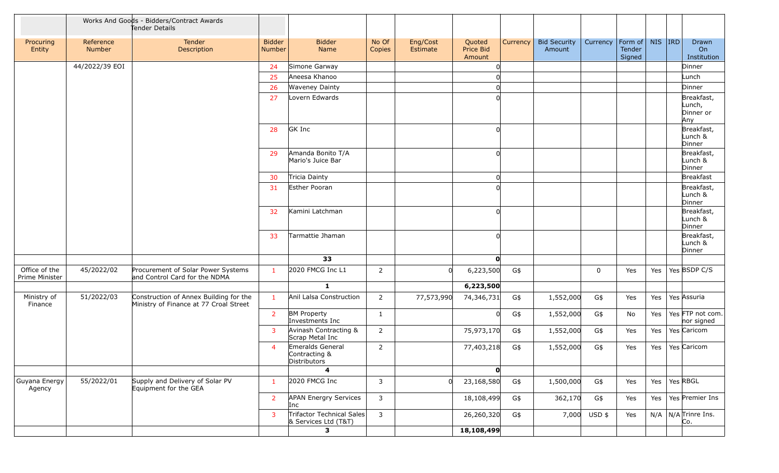|                                 |                            | Works And Goods - Bidders/Contract Awards<br>Tender Details                      |                                |                                                        |                 |                      |                               |          |                               |              |                                         |     |                                          |
|---------------------------------|----------------------------|----------------------------------------------------------------------------------|--------------------------------|--------------------------------------------------------|-----------------|----------------------|-------------------------------|----------|-------------------------------|--------------|-----------------------------------------|-----|------------------------------------------|
| Procuring<br>Entity             | Reference<br><b>Number</b> | Tender<br>Description                                                            | <b>Bidder</b><br><b>Number</b> | <b>Bidder</b><br>Name                                  | No Of<br>Copies | Eng/Cost<br>Estimate | Quoted<br>Price Bid<br>Amount | Currency | <b>Bid Security</b><br>Amount | Currency     | Form of   NIS   IRD<br>Tender<br>Signed |     | Drawn<br>On<br>Institution               |
|                                 | 44/2022/39 EOI             |                                                                                  | 24                             | Simone Garway                                          |                 |                      |                               |          |                               |              |                                         |     | Dinner                                   |
|                                 |                            |                                                                                  | 25                             | Aneesa Khanoo                                          |                 |                      |                               |          |                               |              |                                         |     | Lunch                                    |
|                                 |                            |                                                                                  | 26                             | <b>Waveney Dainty</b>                                  |                 |                      |                               |          |                               |              |                                         |     | Dinner                                   |
|                                 |                            |                                                                                  | 27                             | Lovern Edwards                                         |                 |                      |                               |          |                               |              |                                         |     | Breakfast,<br>Lunch,<br>Dinner or<br>Any |
|                                 |                            |                                                                                  | 28                             | GK Inc                                                 |                 |                      |                               |          |                               |              |                                         |     | Breakfast,<br>Lunch &<br>Dinner          |
|                                 |                            |                                                                                  | 29                             | Amanda Bonito T/A<br>Mario's Juice Bar                 |                 |                      |                               |          |                               |              |                                         |     | Breakfast,<br>Lunch &<br>Dinner          |
|                                 |                            |                                                                                  | 30                             | Tricia Dainty                                          |                 |                      | 0                             |          |                               |              |                                         |     | Breakfast                                |
|                                 |                            |                                                                                  | 31                             | Esther Pooran                                          |                 |                      |                               |          |                               |              |                                         |     | Breakfast,<br>Lunch &<br>Dinner          |
|                                 |                            |                                                                                  | 32                             | Kamini Latchman                                        |                 |                      | ∩                             |          |                               |              |                                         |     | Breakfast,<br>Lunch &<br>Dinner          |
|                                 |                            |                                                                                  | 33                             | Tarmattie Jhaman                                       |                 |                      |                               |          |                               |              |                                         |     | Breakfast,<br>Lunch &<br>Dinner          |
|                                 |                            |                                                                                  |                                | 33                                                     |                 |                      | O                             |          |                               |              |                                         |     |                                          |
| Office of the<br>Prime Minister | 45/2022/02                 | Procurement of Solar Power Systems<br>and Control Card for the NDMA              | $\mathbf{1}$                   | 2020 FMCG Inc L1                                       | $\overline{2}$  |                      | 6,223,500                     | G\$      |                               | $\mathbf 0$  | Yes                                     | Yes | Yes BSDP C/S                             |
|                                 |                            |                                                                                  |                                | $\mathbf{1}$                                           |                 |                      | 6,223,500                     |          |                               |              |                                         |     |                                          |
| Ministry of<br>Finance          | 51/2022/03                 | Construction of Annex Building for the<br>Ministry of Finance at 77 Croal Street | $\mathbf{1}$                   | Anil Lalsa Construction                                | $\overline{2}$  | 77,573,990           | 74,346,731                    | G\$      | 1,552,000                     | G\$          | Yes                                     | Yes | Yes Assuria                              |
|                                 |                            |                                                                                  | $\overline{2}$                 | <b>BM Property</b><br>Investments Inc                  | 1               |                      |                               | G\$      | 1,552,000                     | G\$          | No                                      | Yes | Yes FTP not com.<br>nor signed           |
|                                 |                            |                                                                                  | 3                              | Avinash Contracting &<br>Scrap Metal Inc               | $\overline{2}$  |                      | 75,973,170                    | G\$      | 1,552,000                     | G\$          | Yes                                     | Yes | Yes Caricom                              |
|                                 |                            |                                                                                  | 4                              | Emeralds General<br>Contracting &<br>Distributors<br>4 | $\overline{2}$  |                      | 77,403,218<br>$\mathbf{0}$    | G\$      | 1,552,000                     | G\$          | Yes                                     | Yes | Yes Caricom                              |
|                                 |                            |                                                                                  |                                |                                                        |                 |                      |                               |          |                               |              |                                         |     |                                          |
| Guyana Energy<br>Agency         | 55/2022/01                 | Supply and Delivery of Solar PV<br>Equipment for the GEA                         | $\mathbf{1}$                   | 2020 FMCG Inc                                          | 3               |                      | 23,168,580                    | G\$      | 1,500,000                     | G\$          | Yes                                     | Yes | Yes RBGL                                 |
|                                 |                            |                                                                                  | $\overline{2}$                 | <b>APAN Energry Services</b><br>Inc                    | 3               |                      | 18,108,499                    | G\$      | 362,170                       | G\$          | Yes                                     | Yes | Yes Premier Ins                          |
|                                 |                            |                                                                                  | 3                              | Trifactor Technical Sales<br>& Services Ltd (T&T)      | $\overline{3}$  |                      | 26,260,320                    | G\$      |                               | 7,000 USD \$ | Yes                                     |     | $N/A$ N/A Trinre Ins.<br>Co.             |
|                                 |                            |                                                                                  |                                | 3                                                      |                 |                      | 18,108,499                    |          |                               |              |                                         |     |                                          |